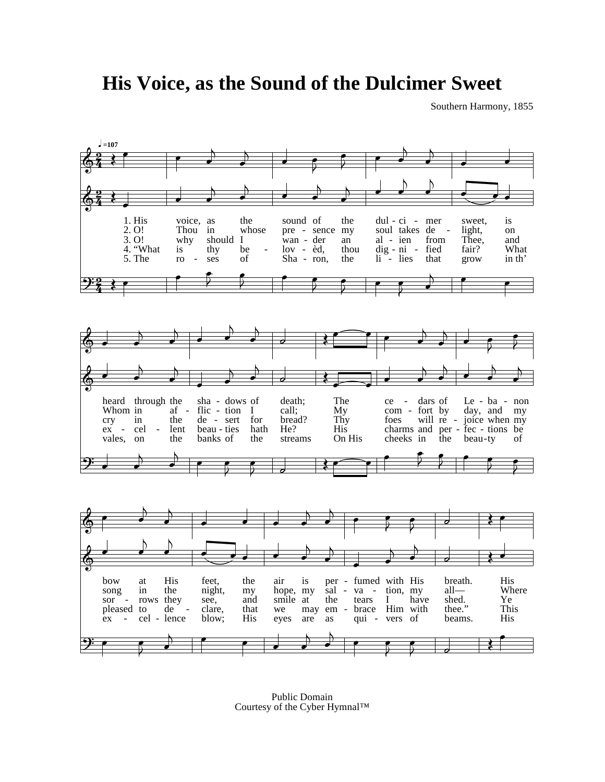**His Voice, as the Sound of the Dulcimer Sweet**

Southern Harmony, 1855



Public Domain Courtesy of the Cyber Hymnal™